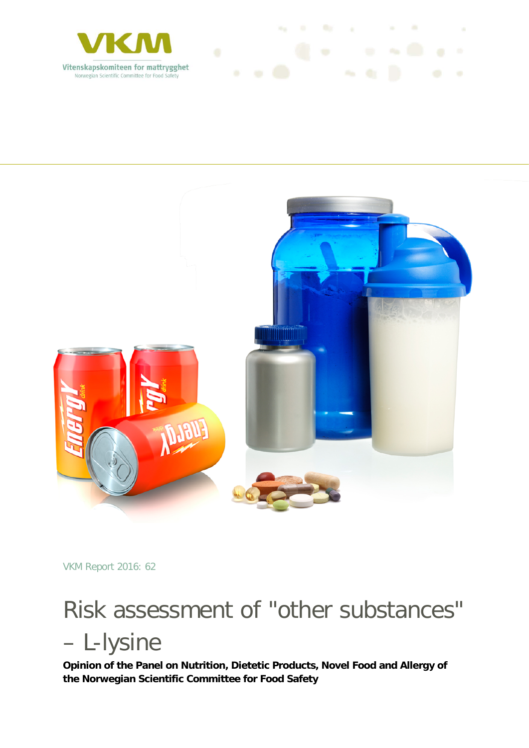



VKM Report 2016: 62

# Risk assessment of "other substances" – L-lysine

**Opinion of the Panel on Nutrition, Dietetic Products, Novel Food and Allergy of the Norwegian Scientific Committee for Food Safety**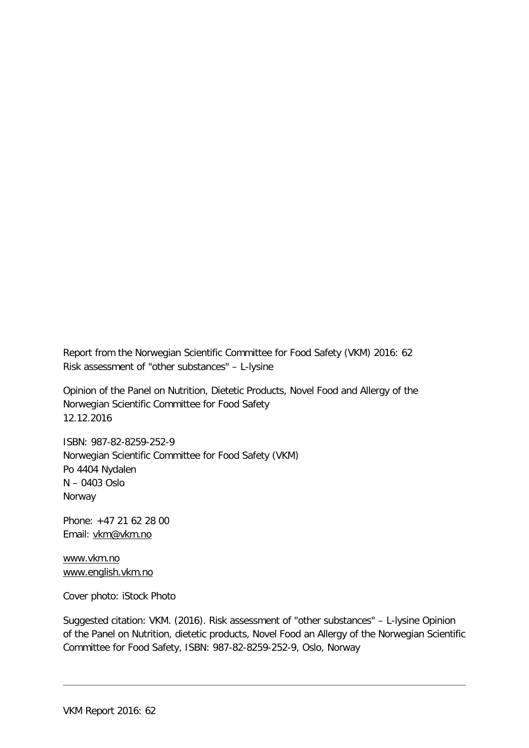Report from the Norwegian Scientific Committee for Food Safety (VKM) 2016: 62 Risk assessment of "other substances" – L-lysine

Opinion of the Panel on Nutrition, Dietetic Products, Novel Food and Allergy of the Norwegian Scientific Committee for Food Safety 12.12.2016

ISBN: 987-82-8259-252-9 Norwegian Scientific Committee for Food Safety (VKM) Po 4404 Nydalen N – 0403 Oslo Norway

Phone: +47 21 62 28 00 Email: [vkm@vkm.no](mailto:vkm@vkm.no)

[www.vkm.no](http://www.vkm.no/) [www.english.vkm.no](http://www.english.vkm.no/)

Cover photo: iStock Photo

Suggested citation: VKM. (2016). Risk assessment of "other substances" – L-lysine Opinion of the Panel on Nutrition, dietetic products, Novel Food an Allergy of the Norwegian Scientific Committee for Food Safety, ISBN: 987-82-8259-252-9, Oslo, Norway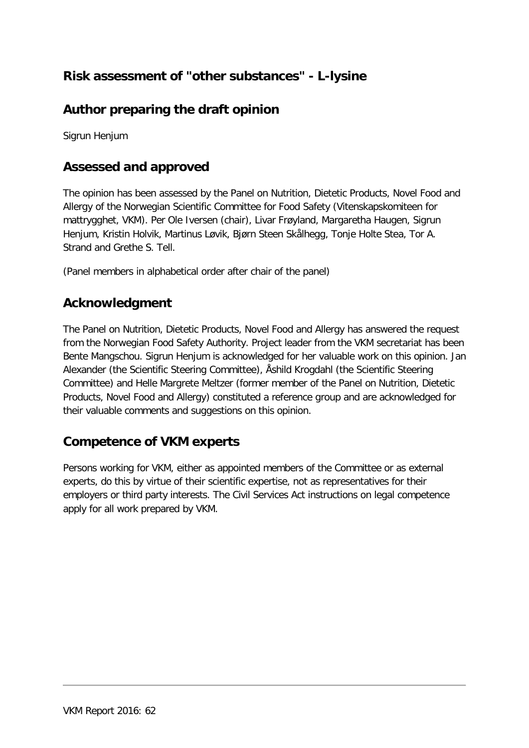### **Risk assessment of "other substances" - L-lysine**

### **Author preparing the draft opinion**

Sigrun Henjum

### **Assessed and approved**

The opinion has been assessed by the Panel on Nutrition, Dietetic Products, Novel Food and Allergy of the Norwegian Scientific Committee for Food Safety (Vitenskapskomiteen for mattrygghet, VKM). Per Ole Iversen (chair), Livar Frøyland, Margaretha Haugen, Sigrun Henjum, Kristin Holvik, Martinus Løvik, Bjørn Steen Skålhegg, Tonje Holte Stea, Tor A. Strand and Grethe S. Tell.

(Panel members in alphabetical order after chair of the panel)

### **Acknowledgment**

The Panel on Nutrition, Dietetic Products, Novel Food and Allergy has answered the request from the Norwegian Food Safety Authority. Project leader from the VKM secretariat has been Bente Mangschou. Sigrun Henjum is acknowledged for her valuable work on this opinion. Jan Alexander (the Scientific Steering Committee), Åshild Krogdahl (the Scientific Steering Committee) and Helle Margrete Meltzer (former member of the Panel on Nutrition, Dietetic Products, Novel Food and Allergy) constituted a reference group and are acknowledged for their valuable comments and suggestions on this opinion.

#### **Competence of VKM experts**

Persons working for VKM, either as appointed members of the Committee or as external experts, do this by virtue of their scientific expertise, not as representatives for their employers or third party interests. The Civil Services Act instructions on legal competence apply for all work prepared by VKM.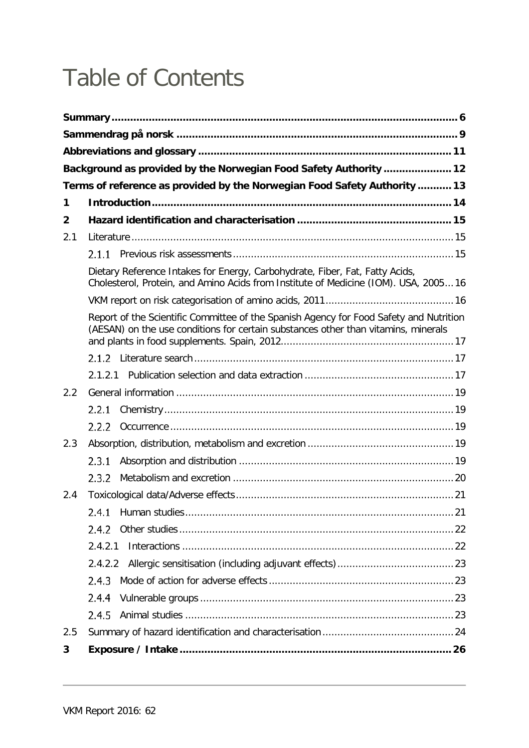## Table of Contents

|                | Background as provided by the Norwegian Food Safety Authority  12                                                                                                            |  |
|----------------|------------------------------------------------------------------------------------------------------------------------------------------------------------------------------|--|
|                | Terms of reference as provided by the Norwegian Food Safety Authority  13                                                                                                    |  |
| 1              |                                                                                                                                                                              |  |
| $\overline{2}$ |                                                                                                                                                                              |  |
| 2.1            |                                                                                                                                                                              |  |
|                |                                                                                                                                                                              |  |
|                | Dietary Reference Intakes for Energy, Carbohydrate, Fiber, Fat, Fatty Acids,<br>Cholesterol, Protein, and Amino Acids from Institute of Medicine (IOM). USA, 200516          |  |
|                |                                                                                                                                                                              |  |
|                | Report of the Scientific Committee of the Spanish Agency for Food Safety and Nutrition<br>(AESAN) on the use conditions for certain substances other than vitamins, minerals |  |
|                |                                                                                                                                                                              |  |
|                |                                                                                                                                                                              |  |
| 2.2            |                                                                                                                                                                              |  |
|                | 2.2.1                                                                                                                                                                        |  |
|                | 2.2.2                                                                                                                                                                        |  |
| 2.3            |                                                                                                                                                                              |  |
|                | 2.3.1                                                                                                                                                                        |  |
|                | 2.3.2                                                                                                                                                                        |  |
| 2.4            |                                                                                                                                                                              |  |
|                | 2.4.1                                                                                                                                                                        |  |
|                | 2.4.2                                                                                                                                                                        |  |
|                | 2.4.2.1                                                                                                                                                                      |  |
|                | 2.4.2.2                                                                                                                                                                      |  |
|                | 2.4.3                                                                                                                                                                        |  |
|                | 2.4.4                                                                                                                                                                        |  |
|                | 2.4.5                                                                                                                                                                        |  |
| 2.5            |                                                                                                                                                                              |  |
| 3              |                                                                                                                                                                              |  |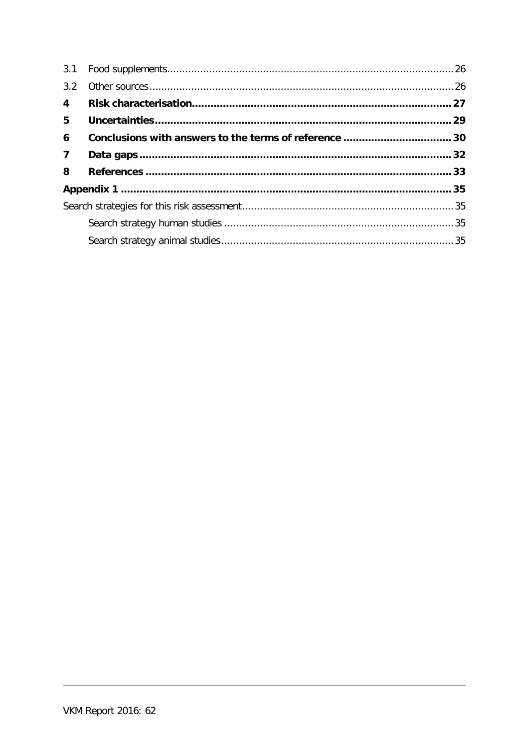| 3.1                     |  |
|-------------------------|--|
| 3.2                     |  |
| $\overline{\mathbf{4}}$ |  |
| 5                       |  |
| 6                       |  |
| $\overline{7}$          |  |
| 8                       |  |
|                         |  |
|                         |  |
|                         |  |
|                         |  |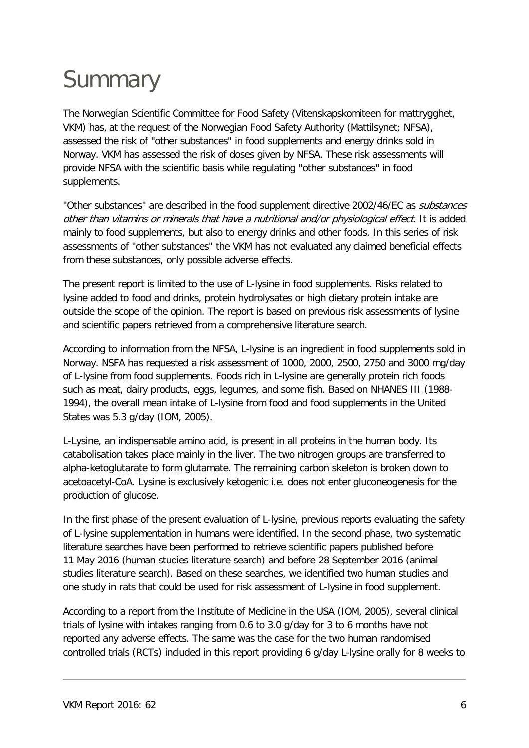## <span id="page-5-0"></span>**Summary**

The Norwegian Scientific Committee for Food Safety (Vitenskapskomiteen for mattrygghet, VKM) has, at the request of the Norwegian Food Safety Authority (Mattilsynet; NFSA), assessed the risk of "other substances" in food supplements and energy drinks sold in Norway. VKM has assessed the risk of doses given by NFSA. These risk assessments will provide NFSA with the scientific basis while regulating "other substances" in food supplements.

"Other substances" are described in the food supplement directive 2002/46/EC as substances other than vitamins or minerals that have a nutritional and/or physiological effect. It is added mainly to food supplements, but also to energy drinks and other foods. In this series of risk assessments of "other substances" the VKM has not evaluated any claimed beneficial effects from these substances, only possible adverse effects.

The present report is limited to the use of L-lysine in food supplements. Risks related to lysine added to food and drinks, protein hydrolysates or high dietary protein intake are outside the scope of the opinion. The report is based on previous risk assessments of lysine and scientific papers retrieved from a comprehensive literature search.

According to information from the NFSA, L-lysine is an ingredient in food supplements sold in Norway. NSFA has requested a risk assessment of 1000, 2000, 2500, 2750 and 3000 mg/day of L-lysine from food supplements. Foods rich in L-lysine are generally protein rich foods such as meat, dairy products, eggs, legumes, and some fish. Based on NHANES III (1988- 1994), the overall mean intake of L-lysine from food and food supplements in the United States was 5.3 g/day (IOM, 2005).

L-Lysine, an indispensable amino acid, is present in all proteins in the human body. Its catabolisation takes place mainly in the liver. The two nitrogen groups are transferred to alpha-ketoglutarate to form glutamate. The remaining carbon skeleton is broken down to acetoacetyl-CoA. Lysine is exclusively ketogenic i.e. does not enter gluconeogenesis for the production of glucose.

In the first phase of the present evaluation of L-lysine, previous reports evaluating the safety of L-lysine supplementation in humans were identified. In the second phase, two systematic literature searches have been performed to retrieve scientific papers published before 11 May 2016 (human studies literature search) and before 28 September 2016 (animal studies literature search). Based on these searches, we identified two human studies and one study in rats that could be used for risk assessment of L-lysine in food supplement.

According to a report from the Institute of Medicine in the USA (IOM, 2005), several clinical trials of lysine with intakes ranging from 0.6 to 3.0 g/day for 3 to 6 months have not reported any adverse effects. The same was the case for the two human randomised controlled trials (RCTs) included in this report providing 6 g/day L-lysine orally for 8 weeks to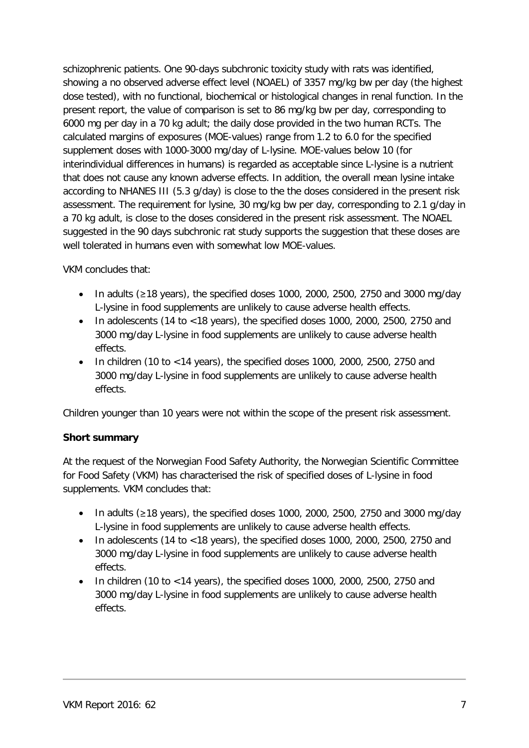schizophrenic patients. One 90-days subchronic toxicity study with rats was identified, showing a no observed adverse effect level (NOAEL) of 3357 mg/kg bw per day (the highest dose tested), with no functional, biochemical or histological changes in renal function. In the present report, the value of comparison is set to 86 mg/kg bw per day, corresponding to 6000 mg per day in a 70 kg adult; the daily dose provided in the two human RCTs. The calculated margins of exposures (MOE-values) range from 1.2 to 6.0 for the specified supplement doses with 1000-3000 mg/day of L-lysine. MOE-values below 10 (for interindividual differences in humans) is regarded as acceptable since L-lysine is a nutrient that does not cause any known adverse effects. In addition, the overall mean lysine intake according to NHANES III (5.3 g/day) is close to the the doses considered in the present risk assessment. The requirement for lysine, 30 mg/kg bw per day, corresponding to 2.1 g/day in a 70 kg adult, is close to the doses considered in the present risk assessment. The NOAEL suggested in the 90 days subchronic rat study supports the suggestion that these doses are well tolerated in humans even with somewhat low MOE-values.

VKM concludes that:

- In adults (≥18 years), the specified doses 1000, 2000, 2500, 2750 and 3000 mg/day L-lysine in food supplements are unlikely to cause adverse health effects.
- In adolescents (14 to  $<$  18 years), the specified doses 1000, 2000, 2500, 2750 and 3000 mg/day L-lysine in food supplements are unlikely to cause adverse health effects.
- In children (10 to <14 years), the specified doses 1000, 2000, 2500, 2750 and 3000 mg/day L-lysine in food supplements are unlikely to cause adverse health effects.

Children younger than 10 years were not within the scope of the present risk assessment.

#### **Short summary**

At the request of the Norwegian Food Safety Authority, the Norwegian Scientific Committee for Food Safety (VKM) has characterised the risk of specified doses of L-lysine in food supplements. VKM concludes that:

- In adults (≥18 years), the specified doses 1000, 2000, 2500, 2750 and 3000 mg/day L-lysine in food supplements are unlikely to cause adverse health effects.
- In adolescents (14 to  $\lt 18$  years), the specified doses 1000, 2000, 2500, 2750 and 3000 mg/day L-lysine in food supplements are unlikely to cause adverse health effects.
- In children (10 to  $\lt 14$  years), the specified doses 1000, 2000, 2500, 2750 and 3000 mg/day L-lysine in food supplements are unlikely to cause adverse health effects.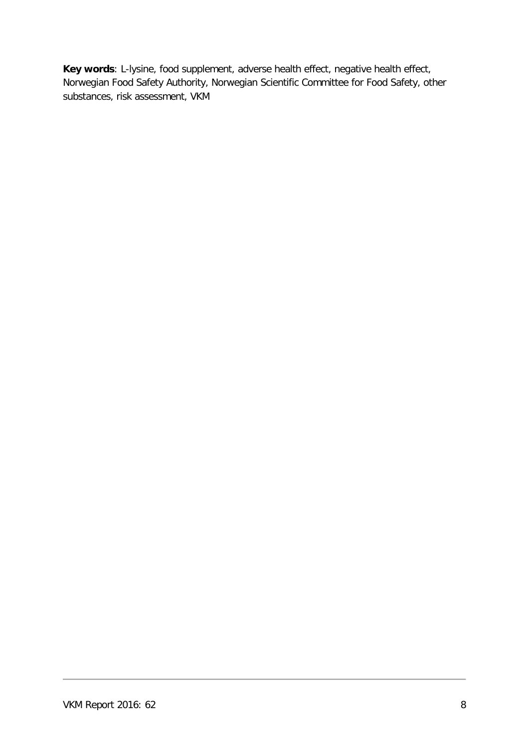**Key words**: L-lysine, food supplement, adverse health effect, negative health effect, Norwegian Food Safety Authority, Norwegian Scientific Committee for Food Safety, other substances, risk assessment, VKM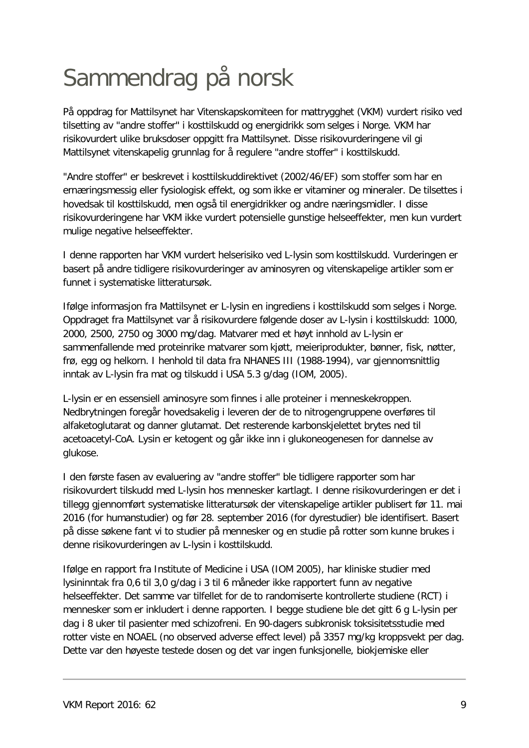## <span id="page-8-0"></span>Sammendrag på norsk

På oppdrag for Mattilsynet har Vitenskapskomiteen for mattrygghet (VKM) vurdert risiko ved tilsetting av "andre stoffer" i kosttilskudd og energidrikk som selges i Norge. VKM har risikovurdert ulike bruksdoser oppgitt fra Mattilsynet. Disse risikovurderingene vil gi Mattilsynet vitenskapelig grunnlag for å regulere "andre stoffer" i kosttilskudd.

"Andre stoffer" er beskrevet i kosttilskuddirektivet (2002/46/EF) som stoffer som har en ernæringsmessig eller fysiologisk effekt, og som ikke er vitaminer og mineraler. De tilsettes i hovedsak til kosttilskudd, men også til energidrikker og andre næringsmidler. I disse risikovurderingene har VKM ikke vurdert potensielle gunstige helseeffekter, men kun vurdert mulige negative helseeffekter.

I denne rapporten har VKM vurdert helserisiko ved L-lysin som kosttilskudd. Vurderingen er basert på andre tidligere risikovurderinger av aminosyren og vitenskapelige artikler som er funnet i systematiske litteratursøk.

Ifølge informasjon fra Mattilsynet er L-lysin en ingrediens i kosttilskudd som selges i Norge. Oppdraget fra Mattilsynet var å risikovurdere følgende doser av L-lysin i kosttilskudd: 1000, 2000, 2500, 2750 og 3000 mg/dag. Matvarer med et høyt innhold av L-lysin er sammenfallende med proteinrike matvarer som kjøtt, meieriprodukter, bønner, fisk, nøtter, frø, egg og helkorn. I henhold til data fra NHANES III (1988-1994), var gjennomsnittlig inntak av L-lysin fra mat og tilskudd i USA 5.3 g/dag (IOM, 2005).

L-lysin er en essensiell aminosyre som finnes i alle proteiner i menneskekroppen. Nedbrytningen foregår hovedsakelig i leveren der de to nitrogengruppene overføres til alfaketoglutarat og danner glutamat. Det resterende karbonskjelettet brytes ned til acetoacetyl-CoA. Lysin er ketogent og går ikke inn i glukoneogenesen for dannelse av glukose.

I den første fasen av evaluering av "andre stoffer" ble tidligere rapporter som har risikovurdert tilskudd med L-lysin hos mennesker kartlagt. I denne risikovurderingen er det i tillegg gjennomført systematiske litteratursøk der vitenskapelige artikler publisert før 11. mai 2016 (for humanstudier) og før 28. september 2016 (for dyrestudier) ble identifisert. Basert på disse søkene fant vi to studier på mennesker og en studie på rotter som kunne brukes i denne risikovurderingen av L-lysin i kosttilskudd.

Ifølge en rapport fra Institute of Medicine i USA (IOM 2005), har kliniske studier med lysininntak fra 0,6 til 3,0 g/dag i 3 til 6 måneder ikke rapportert funn av negative helseeffekter. Det samme var tilfellet for de to randomiserte kontrollerte studiene (RCT) i mennesker som er inkludert i denne rapporten. I begge studiene ble det gitt 6 g L-lysin per dag i 8 uker til pasienter med schizofreni. En 90-dagers subkronisk toksisitetsstudie med rotter viste en NOAEL (no observed adverse effect level) på 3357 mg/kg kroppsvekt per dag. Dette var den høyeste testede dosen og det var ingen funksjonelle, biokjemiske eller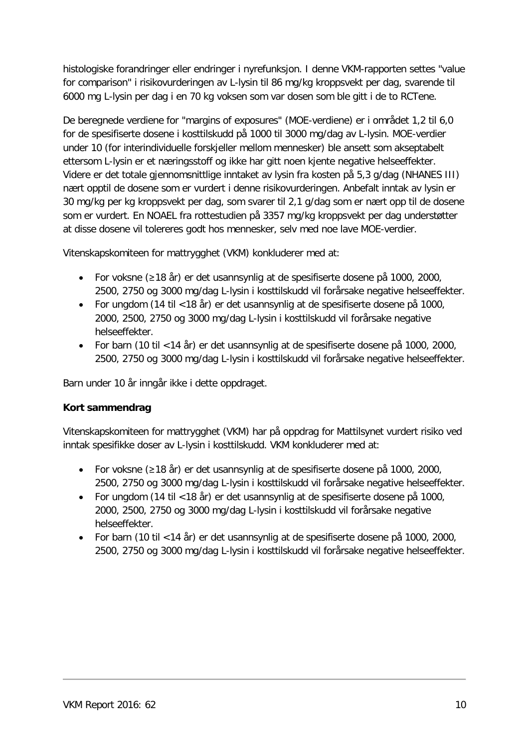histologiske forandringer eller endringer i nyrefunksjon. I denne VKM-rapporten settes "value for comparison" i risikovurderingen av L-lysin til 86 mg/kg kroppsvekt per dag, svarende til 6000 mg L-lysin per dag i en 70 kg voksen som var dosen som ble gitt i de to RCTene.

De beregnede verdiene for "margins of exposures" (MOE-verdiene) er i området 1,2 til 6,0 for de spesifiserte dosene i kosttilskudd på 1000 til 3000 mg/dag av L-lysin. MOE-verdier under 10 (for interindividuelle forskjeller mellom mennesker) ble ansett som akseptabelt ettersom L-lysin er et næringsstoff og ikke har gitt noen kjente negative helseeffekter. Videre er det totale gjennomsnittlige inntaket av lysin fra kosten på 5,3 g/dag (NHANES III) nært opptil de dosene som er vurdert i denne risikovurderingen. Anbefalt inntak av lysin er 30 mg/kg per kg kroppsvekt per dag, som svarer til 2,1 g/dag som er nært opp til de dosene som er vurdert. En NOAEL fra rottestudien på 3357 mg/kg kroppsvekt per dag understøtter at disse dosene vil tolereres godt hos mennesker, selv med noe lave MOE-verdier.

Vitenskapskomiteen for mattrygghet (VKM) konkluderer med at:

- For voksne (≥18 år) er det usannsynlig at de spesifiserte dosene på 1000, 2000, 2500, 2750 og 3000 mg/dag L-lysin i kosttilskudd vil forårsake negative helseeffekter.
- For ungdom (14 til <18 år) er det usannsynlig at de spesifiserte dosene på 1000, 2000, 2500, 2750 og 3000 mg/dag L-lysin i kosttilskudd vil forårsake negative helseeffekter.
- For barn (10 til <14 år) er det usannsynlig at de spesifiserte dosene på 1000, 2000, 2500, 2750 og 3000 mg/dag L-lysin i kosttilskudd vil forårsake negative helseeffekter.

Barn under 10 år inngår ikke i dette oppdraget.

#### **Kort sammendrag**

Vitenskapskomiteen for mattrygghet (VKM) har på oppdrag for Mattilsynet vurdert risiko ved inntak spesifikke doser av L-lysin i kosttilskudd. VKM konkluderer med at:

- For voksne (≥18 år) er det usannsynlig at de spesifiserte dosene på 1000, 2000, 2500, 2750 og 3000 mg/dag L-lysin i kosttilskudd vil forårsake negative helseeffekter.
- For ungdom (14 til <18 år) er det usannsynlig at de spesifiserte dosene på 1000, 2000, 2500, 2750 og 3000 mg/dag L-lysin i kosttilskudd vil forårsake negative helseeffekter.
- For barn (10 til <14 år) er det usannsynlig at de spesifiserte dosene på 1000, 2000, 2500, 2750 og 3000 mg/dag L-lysin i kosttilskudd vil forårsake negative helseeffekter.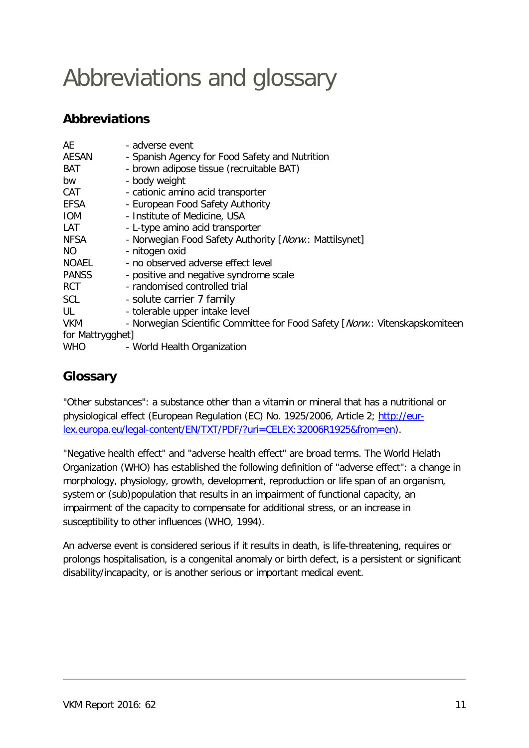## <span id="page-10-0"></span>Abbreviations and glossary

### **Abbreviations**

| AE               | - adverse event                                                             |
|------------------|-----------------------------------------------------------------------------|
| <b>AESAN</b>     | - Spanish Agency for Food Safety and Nutrition                              |
| <b>BAT</b>       | - brown adipose tissue (recruitable BAT)                                    |
| bw               | - body weight                                                               |
| CAT              | - cationic amino acid transporter                                           |
| <b>EFSA</b>      | - European Food Safety Authority                                            |
| <b>IOM</b>       | - Institute of Medicine, USA                                                |
| LAT              | - L-type amino acid transporter                                             |
| <b>NFSA</b>      | - Norwegian Food Safety Authority [Norw.: Mattilsynet]                      |
| NO.              | - nitogen oxid                                                              |
| <b>NOAEL</b>     | - no observed adverse effect level                                          |
| <b>PANSS</b>     | - positive and negative syndrome scale                                      |
| <b>RCT</b>       | - randomised controlled trial                                               |
| <b>SCL</b>       | - solute carrier 7 family                                                   |
| UL               | - tolerable upper intake level                                              |
| <b>VKM</b>       | - Norwegian Scientific Committee for Food Safety [Norw.: Vitenskapskomiteen |
| for Mattrygghet] |                                                                             |
| <b>WHO</b>       | - World Health Organization                                                 |

### **Glossary**

"Other substances": a substance other than a vitamin or mineral that has a nutritional or physiological effect (European Regulation (EC) No. 1925/2006, Article 2; [http://eur](http://eur-lex.europa.eu/legal-content/EN/TXT/PDF/?uri=CELEX:32006R1925&from=en)[lex.europa.eu/legal-content/EN/TXT/PDF/?uri=CELEX:32006R1925&from=en\)](http://eur-lex.europa.eu/legal-content/EN/TXT/PDF/?uri=CELEX:32006R1925&from=en).

"Negative health effect" and "adverse health effect" are broad terms. The World Helath Organization (WHO) has established the following definition of "adverse effect": a change in morphology, physiology, growth, development, reproduction or life span of an organism, system or (sub)population that results in an impairment of functional capacity, an impairment of the capacity to compensate for additional stress, or an increase in susceptibility to other influences (WHO, 1994).

An adverse event is considered serious if it results in death, is life-threatening, requires or prolongs hospitalisation, is a congenital anomaly or birth defect, is a persistent or significant disability/incapacity, or is another serious or important medical event.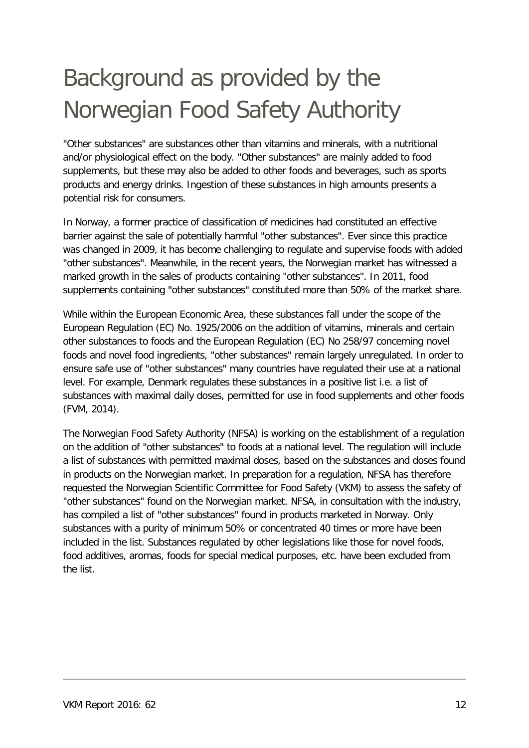## <span id="page-11-0"></span>Background as provided by the Norwegian Food Safety Authority

"Other substances" are substances other than vitamins and minerals, with a nutritional and/or physiological effect on the body. "Other substances" are mainly added to food supplements, but these may also be added to other foods and beverages, such as sports products and energy drinks. Ingestion of these substances in high amounts presents a potential risk for consumers.

In Norway, a former practice of classification of medicines had constituted an effective barrier against the sale of potentially harmful "other substances". Ever since this practice was changed in 2009, it has become challenging to regulate and supervise foods with added "other substances". Meanwhile, in the recent years, the Norwegian market has witnessed a marked growth in the sales of products containing "other substances". In 2011, food supplements containing "other substances" constituted more than 50% of the market share.

While within the European Economic Area, these substances fall under the scope of the European Regulation (EC) No. 1925/2006 on the addition of vitamins, minerals and certain other substances to foods and the European Regulation (EC) No 258/97 concerning novel foods and novel food ingredients, "other substances" remain largely unregulated. In order to ensure safe use of "other substances" many countries have regulated their use at a national level. For example, Denmark regulates these substances in a positive list i.e. a list of substances with maximal daily doses, permitted for use in food supplements and other foods (FVM, 2014).

The Norwegian Food Safety Authority (NFSA) is working on the establishment of a regulation on the addition of "other substances" to foods at a national level. The regulation will include a list of substances with permitted maximal doses, based on the substances and doses found in products on the Norwegian market. In preparation for a regulation, NFSA has therefore requested the Norwegian Scientific Committee for Food Safety (VKM) to assess the safety of "other substances" found on the Norwegian market. NFSA, in consultation with the industry, has compiled a list of "other substances" found in products marketed in Norway. Only substances with a purity of minimum 50% or concentrated 40 times or more have been included in the list. Substances regulated by other legislations like those for novel foods, food additives, aromas, foods for special medical purposes, etc. have been excluded from the list.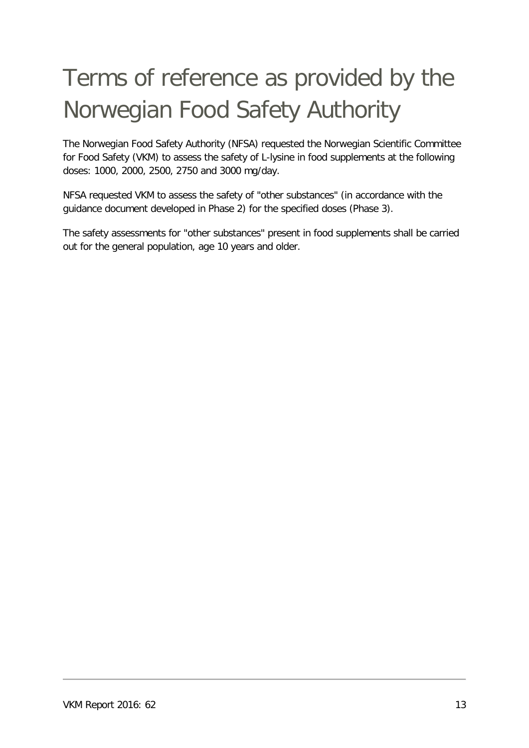## <span id="page-12-0"></span>Terms of reference as provided by the Norwegian Food Safety Authority

The Norwegian Food Safety Authority (NFSA) requested the Norwegian Scientific Committee for Food Safety (VKM) to assess the safety of L-lysine in food supplements at the following doses: 1000, 2000, 2500, 2750 and 3000 mg/day.

NFSA requested VKM to assess the safety of "other substances" (in accordance with the guidance document developed in Phase 2) for the specified doses (Phase 3).

The safety assessments for "other substances" present in food supplements shall be carried out for the general population, age 10 years and older.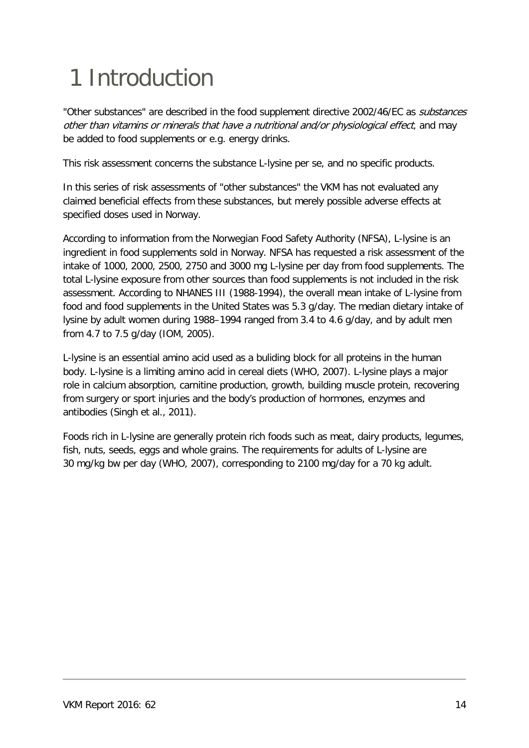# <span id="page-13-0"></span>1 Introduction

"Other substances" are described in the food supplement directive 2002/46/EC as substances other than vitamins or minerals that have a nutritional and/or physiological effect, and may be added to food supplements or e.g. energy drinks.

This risk assessment concerns the substance L-lysine per se, and no specific products.

In this series of risk assessments of "other substances" the VKM has not evaluated any claimed beneficial effects from these substances, but merely possible adverse effects at specified doses used in Norway.

According to information from the Norwegian Food Safety Authority (NFSA), L-lysine is an ingredient in food supplements sold in Norway. NFSA has requested a risk assessment of the intake of 1000, 2000, 2500, 2750 and 3000 mg L-lysine per day from food supplements. The total L-lysine exposure from other sources than food supplements is not included in the risk assessment. According to NHANES III (1988-1994), the overall mean intake of L-lysine from food and food supplements in the United States was 5.3 g/day. The median dietary intake of lysine by adult women during 1988–1994 ranged from 3.4 to 4.6 g/day, and by adult men from 4.7 to 7.5 g/day (IOM, 2005).

L-lysine is an essential amino acid used as a buliding block for all proteins in the human body. L-lysine is a limiting amino acid in cereal diets (WHO, 2007). L-lysine plays a major role in calcium absorption, carnitine production, growth, building muscle protein, recovering from surgery or sport injuries and the body's production of hormones, enzymes and antibodies (Singh et al., 2011).

Foods rich in L-lysine are generally protein rich foods such as meat, dairy products, legumes, fish, nuts, seeds, eggs and whole grains. The requirements for adults of L-lysine are 30 mg/kg bw per day (WHO, 2007), corresponding to 2100 mg/day for a 70 kg adult.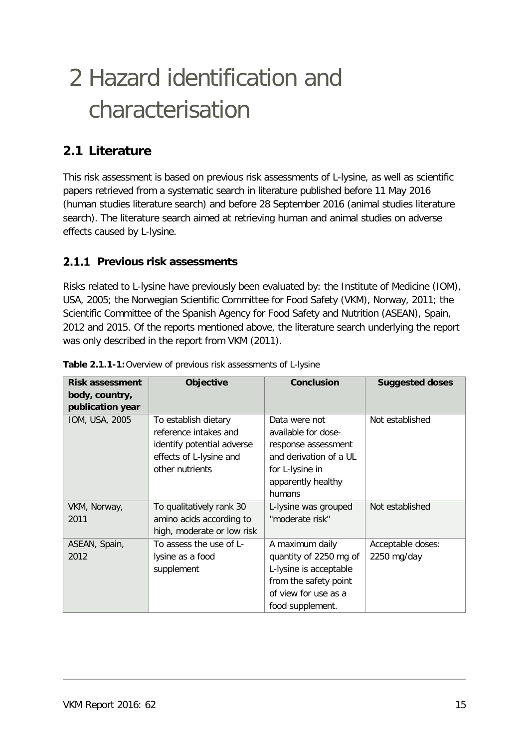## <span id="page-14-0"></span>2 Hazard identification and characterisation

### <span id="page-14-1"></span>**2.1 Literature**

This risk assessment is based on previous risk assessments of L-lysine, as well as scientific papers retrieved from a systematic search in literature published before 11 May 2016 (human studies literature search) and before 28 September 2016 (animal studies literature search). The literature search aimed at retrieving human and animal studies on adverse effects caused by L-lysine.

#### <span id="page-14-2"></span>**Previous risk assessments**

Risks related to L-lysine have previously been evaluated by: the Institute of Medicine (IOM), USA, 2005; the Norwegian Scientific Committee for Food Safety (VKM), Norway, 2011; the Scientific Committee of the Spanish Agency for Food Safety and Nutrition (ASEAN), Spain, 2012 and 2015. Of the reports mentioned above, the literature search underlying the report was only described in the report from VKM (2011).

| <b>Risk assessment</b> | Objective                  | <b>Conclusion</b>      | <b>Suggested doses</b> |
|------------------------|----------------------------|------------------------|------------------------|
| body, country,         |                            |                        |                        |
| publication year       |                            |                        |                        |
| IOM, USA, 2005         | To establish dietary       | Data were not          | Not established        |
|                        | reference intakes and      | available for dose-    |                        |
|                        | identify potential adverse | response assessment    |                        |
|                        | effects of L-lysine and    | and derivation of a UL |                        |
|                        | other nutrients            | for L-lysine in        |                        |
|                        |                            | apparently healthy     |                        |
|                        |                            | humans                 |                        |
| VKM, Norway,           | To qualitatively rank 30   | L-lysine was grouped   | Not established        |
| 2011                   | amino acids according to   | "moderate risk"        |                        |
|                        | high, moderate or low risk |                        |                        |
| ASEAN, Spain,          | To assess the use of L-    | A maximum daily        | Acceptable doses:      |
| 2012                   | lysine as a food           | quantity of 2250 mg of | 2250 mg/day            |
|                        | supplement                 | L-lysine is acceptable |                        |
|                        |                            | from the safety point  |                        |
|                        |                            | of view for use as a   |                        |
|                        |                            | food supplement.       |                        |

| Table 2.1.1-1: Overview of previous risk assessments of L-lysine |  |  |  |  |  |  |  |  |  |
|------------------------------------------------------------------|--|--|--|--|--|--|--|--|--|
|------------------------------------------------------------------|--|--|--|--|--|--|--|--|--|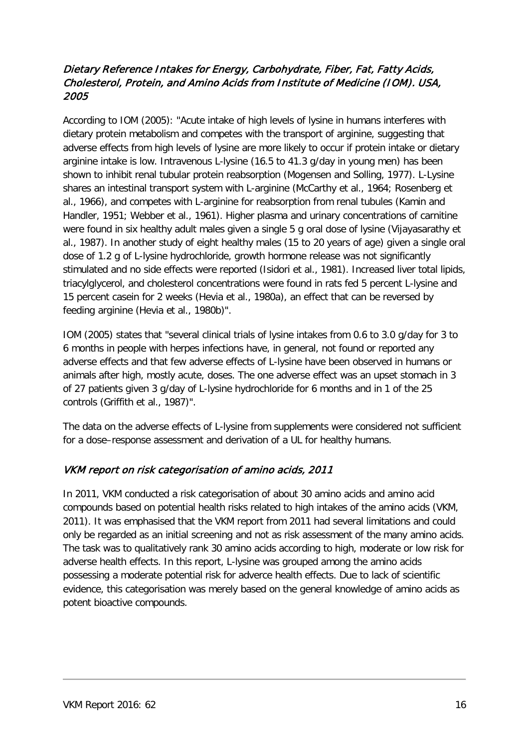#### <span id="page-15-0"></span>Dietary Reference Intakes for Energy, Carbohydrate, Fiber, Fat, Fatty Acids, Cholesterol, Protein, and Amino Acids from Institute of Medicine (IOM). USA, 2005

According to IOM (2005): "Acute intake of high levels of lysine in humans interferes with dietary protein metabolism and competes with the transport of arginine, suggesting that adverse effects from high levels of lysine are more likely to occur if protein intake or dietary arginine intake is low. Intravenous L-lysine (16.5 to 41.3 g/day in young men) has been shown to inhibit renal tubular protein reabsorption (Mogensen and Solling, 1977). L-Lysine shares an intestinal transport system with L-arginine (McCarthy et al., 1964; Rosenberg et al., 1966), and competes with L-arginine for reabsorption from renal tubules (Kamin and Handler, 1951; Webber et al., 1961). Higher plasma and urinary concentrations of carnitine were found in six healthy adult males given a single 5 g oral dose of lysine (Vijayasarathy et al., 1987). In another study of eight healthy males (15 to 20 years of age) given a single oral dose of 1.2 g of L-lysine hydrochloride, growth hormone release was not significantly stimulated and no side effects were reported (Isidori et al., 1981). Increased liver total lipids, triacylglycerol, and cholesterol concentrations were found in rats fed 5 percent L-lysine and 15 percent casein for 2 weeks (Hevia et al., 1980a), an effect that can be reversed by feeding arginine (Hevia et al., 1980b)".

IOM (2005) states that "several clinical trials of lysine intakes from 0.6 to 3.0 g/day for 3 to 6 months in people with herpes infections have, in general, not found or reported any adverse effects and that few adverse effects of L-lysine have been observed in humans or animals after high, mostly acute, doses. The one adverse effect was an upset stomach in 3 of 27 patients given 3 g/day of L-lysine hydrochloride for 6 months and in 1 of the 25 controls (Griffith et al., 1987)".

The data on the adverse effects of L-lysine from supplements were considered not sufficient for a dose–response assessment and derivation of a UL for healthy humans.

#### <span id="page-15-1"></span>VKM report on risk categorisation of amino acids, 2011

In 2011, VKM conducted a risk categorisation of about 30 amino acids and amino acid compounds based on potential health risks related to high intakes of the amino acids (VKM, 2011). It was emphasised that the VKM report from 2011 had several limitations and could only be regarded as an initial screening and not as risk assessment of the many amino acids. The task was to qualitatively rank 30 amino acids according to high, moderate or low risk for adverse health effects. In this report, L-lysine was grouped among the amino acids possessing a moderate potential risk for adverce health effects. Due to lack of scientific evidence, this categorisation was merely based on the general knowledge of amino acids as potent bioactive compounds.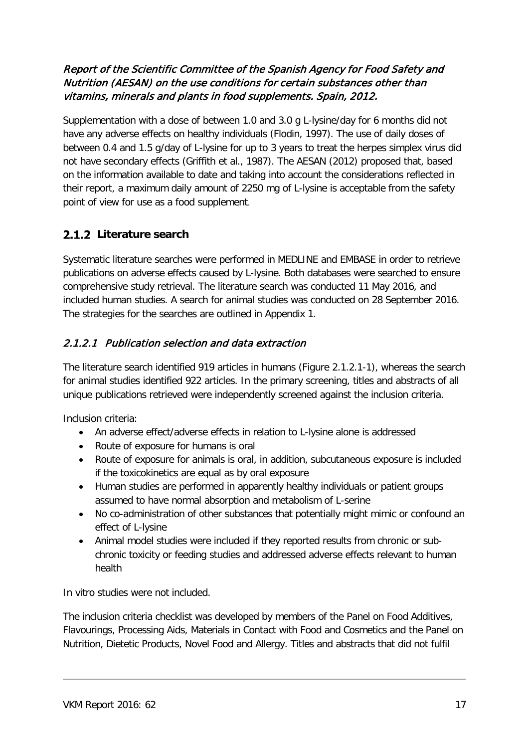#### <span id="page-16-0"></span>Report of the Scientific Committee of the Spanish Agency for Food Safety and Nutrition (AESAN) on the use conditions for certain substances other than vitamins, minerals and plants in food supplements. Spain, 2012.

Supplementation with a dose of between 1.0 and 3.0 g L-lysine/day for 6 months did not have any adverse effects on healthy individuals (Flodin, 1997). The use of daily doses of between 0.4 and 1.5 g/day of L-lysine for up to 3 years to treat the herpes simplex virus did not have secondary effects (Griffith et al., 1987). The AESAN (2012) proposed that, based on the information available to date and taking into account the considerations reflected in their report, a maximum daily amount of 2250 mg of L-lysine is acceptable from the safety point of view for use as a food supplement.

#### <span id="page-16-1"></span>**Literature search**

Systematic literature searches were performed in MEDLINE and EMBASE in order to retrieve publications on adverse effects caused by L-lysine. Both databases were searched to ensure comprehensive study retrieval. The literature search was conducted 11 May 2016, and included human studies. A search for animal studies was conducted on 28 September 2016. The strategies for the searches are outlined in Appendix 1.

#### <span id="page-16-2"></span>2.1.2.1 Publication selection and data extraction

The literature search identified 919 articles in humans (Figure 2.1.2.1-1), whereas the search for animal studies identified 922 articles. In the primary screening, titles and abstracts of all unique publications retrieved were independently screened against the inclusion criteria.

Inclusion criteria:

- An adverse effect/adverse effects in relation to L-lysine alone is addressed
- Route of exposure for humans is oral
- Route of exposure for animals is oral, in addition, subcutaneous exposure is included if the toxicokinetics are equal as by oral exposure
- Human studies are performed in apparently healthy individuals or patient groups assumed to have normal absorption and metabolism of L-serine
- No co-administration of other substances that potentially might mimic or confound an effect of L-lysine
- Animal model studies were included if they reported results from chronic or subchronic toxicity or feeding studies and addressed adverse effects relevant to human health

In vitro studies were not included.

The inclusion criteria checklist was developed by members of the Panel on Food Additives, Flavourings, Processing Aids, Materials in Contact with Food and Cosmetics and the Panel on Nutrition, Dietetic Products, Novel Food and Allergy. Titles and abstracts that did not fulfil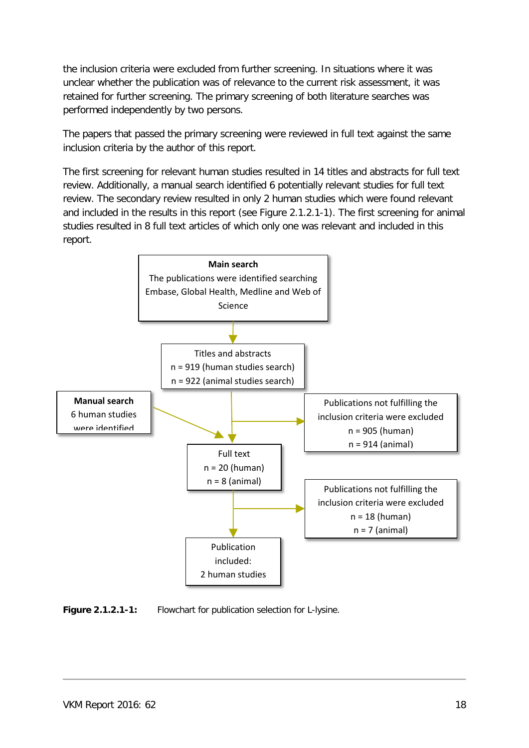the inclusion criteria were excluded from further screening. In situations where it was unclear whether the publication was of relevance to the current risk assessment, it was retained for further screening. The primary screening of both literature searches was performed independently by two persons.

The papers that passed the primary screening were reviewed in full text against the same inclusion criteria by the author of this report.

The first screening for relevant human studies resulted in 14 titles and abstracts for full text review. Additionally, a manual search identified 6 potentially relevant studies for full text review. The secondary review resulted in only 2 human studies which were found relevant and included in the results in this report (see Figure 2.1.2.1-1). The first screening for animal studies resulted in 8 full text articles of which only one was relevant and included in this report.



**Figure 2.1.2.1-1:** Flowchart for publication selection for L-lysine.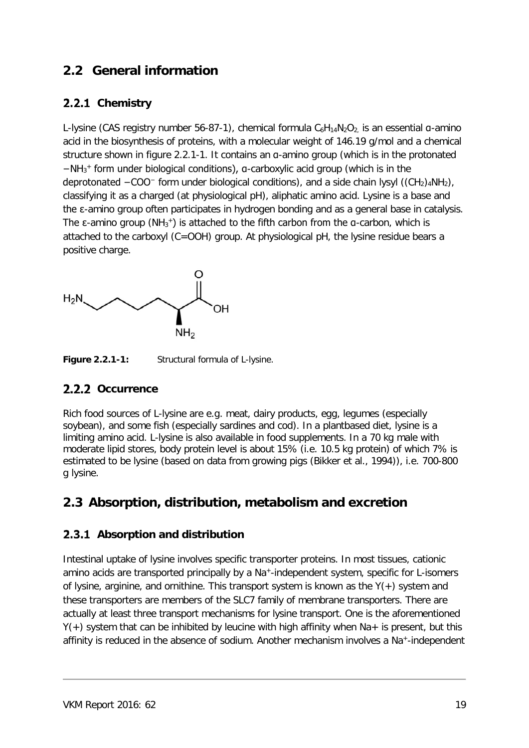### <span id="page-18-0"></span>**2.2 General information**

#### <span id="page-18-1"></span>2.2.1 Chemistry

L-lysine (CAS registry number 56-87-1), chemical formula  $C_6H_{14}N_2O_2$  is an essential a-amino [acid](https://en.wikipedia.org/wiki/%CE%91-amino_acid) in the biosynthesis of [proteins,](https://en.wikipedia.org/wiki/Proteins) with a molecular weight of 146.19 g/mol and a chemical structure shown in figure 2.2.1-1. It contains an α-amino group (which is in the protonated −NH3 <sup>+</sup> form under biological conditions), α-carboxylic acid group (which is in the deprotonated  $-COO^-$  form under biological conditions), and a side chain lysyl ( $(CH_2)_4NH_2$ ), classifying it as a charged (at physiological pH), aliphatic amino acid. Lysine is a [base](https://en.wikipedia.org/wiki/Basic_%28chemistry%29) and the ε-amino group often participates in hydrogen bonding and as a general base in [catalysis.](https://en.wikipedia.org/wiki/Catalysis) The  $\varepsilon$ -amino group (NH<sub>3</sub><sup>+</sup>) is attached to the fifth carbon from the  $a$ -carbon, which is attached to the carboxyl (C=OOH) group. At physiological pH, the lysine residue bears a positive charge.



**Figure 2.2.1-1:** Structural formula of L-lysine.

#### <span id="page-18-2"></span>2.2.2 Occurrence

Rich food sources of L-lysine are e.g. meat, dairy products, egg, legumes (especially soybean), and some fish (especially sardines and cod). In a plantbased diet, lysine is a limiting amino acid. L-lysine is also available in food supplements. In a 70 kg male with moderate lipid stores, body protein level is about 15% (i.e. 10.5 kg protein) of which 7% is estimated to be lysine (based on data from growing pigs (Bikker et al., 1994)), i.e. 700-800 g lysine.

### <span id="page-18-3"></span>**2.3 Absorption, distribution, metabolism and excretion**

#### <span id="page-18-4"></span>**Absorption and distribution**

Intestinal uptake of lysine involves specific transporter proteins. In most tissues, cationic amino acids are transported principally by a Na<sup>+</sup>-independent system, specific for L-isomers of lysine, arginine, and ornithine. This transport system is known as the  $Y(+)$  system and these transporters are members of the SLC7 [family](http://themedicalbiochemistrypage.org/membranes.php#slc) of membrane transporters. There are actually at least three transport mechanisms for lysine transport. One is the aforementioned  $Y(+)$  system that can be inhibited by leucine with high affinity when Na+ is present, but this affinity is reduced in the absence of sodium. Another mechanism involves a Na+-independent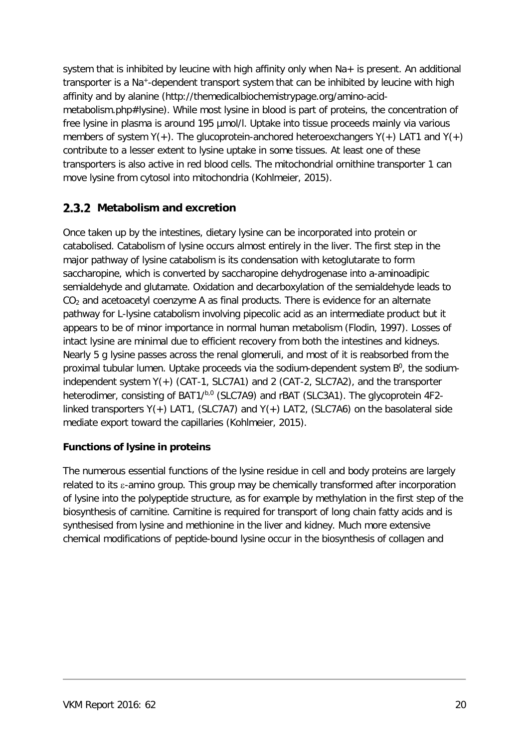system that is inhibited by leucine with high affinity only when Na+ is present. An additional transporter is a Na<sup>+</sup>-dependent transport system that can be inhibited by leucine with high affinity and by alanine (http://themedicalbiochemistrypage.org/amino-acidmetabolism.php#lysine). While most lysine in blood is part of proteins, the concentration of free lysine in plasma is around 195 µmol/l. Uptake into tissue proceeds mainly via various members of system  $Y(+)$ . The glucoprotein-anchored heteroexchangers  $Y(+)$  LAT1 and  $Y(+)$ contribute to a lesser extent to lysine uptake in some tissues. At least one of these transporters is also active in red blood cells. The mitochondrial ornithine transporter 1 can move lysine from cytosol into mitochondria (Kohlmeier, 2015).

#### <span id="page-19-0"></span>**2.3.2 Metabolism and excretion**

Once taken up by the intestines, dietary lysine can be incorporated into protein or catabolised. Catabolism of lysine occurs almost entirely in the liver. The first step in the major pathway of lysine catabolism is its condensation with ketoglutarate to form saccharopine, which is converted by saccharopine dehydrogenase into a-aminoadipic semialdehyde and glutamate. Oxidation and decarboxylation of the semialdehyde leads to  $CO<sub>2</sub>$  and acetoacetyl coenzyme A as final products. There is evidence for an alternate pathway for L-lysine catabolism involving pipecolic acid as an intermediate product but it appears to be of minor importance in normal human metabolism (Flodin, 1997). Losses of intact lysine are minimal due to efficient recovery from both the intestines and kidneys. Nearly 5 g lysine passes across the renal glomeruli, and most of it is reabsorbed from the proximal tubular lumen. Uptake proceeds via the sodium-dependent system B<sup>0</sup>, the sodiumindependent system Y(+) (CAT-1, SLC7A1) and 2 (CAT-2, SLC7A2), and the transporter heterodimer, consisting of BAT1/b,0 (SLC7A9) and rBAT (SLC3A1). The glycoprotein 4F2linked transporters  $Y(+)$  LAT1, (SLC7A7) and  $Y(+)$  LAT2, (SLC7A6) on the basolateral side mediate export toward the capillaries (Kohlmeier, 2015).

#### **Functions of lysine in proteins**

The numerous essential functions of the lysine residue in cell and body proteins are largely related to its ε-amino group. This group may be chemically transformed after incorporation of lysine into the polypeptide structure, as for example by methylation in the first step of the biosynthesis of carnitine. Carnitine is required for transport of long chain fatty acids and is synthesised from lysine and methionine in the liver and kidney. Much more extensive chemical modifications of peptide-bound lysine occur in the biosynthesis of collagen and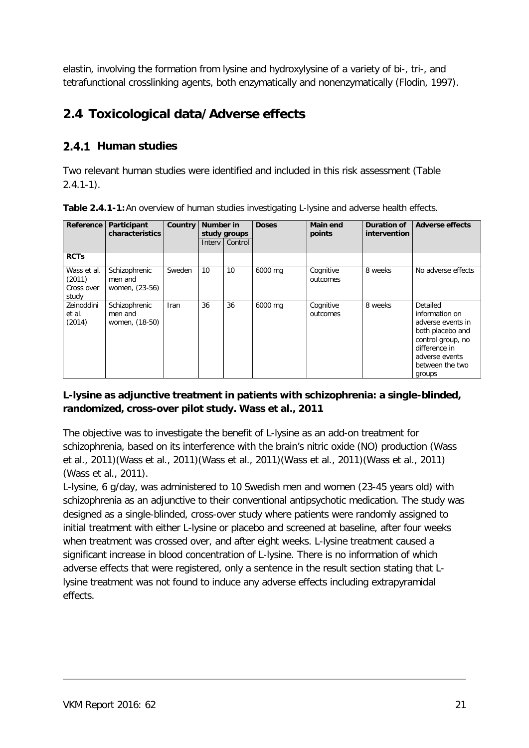elastin, involving the formation from lysine and hydroxylysine of a variety of bi-, tri-, and tetrafunctional crosslinking agents, both enzymatically and nonenzymatically (Flodin, 1997).

### <span id="page-20-0"></span>**2.4 Toxicological data/Adverse effects**

#### <span id="page-20-1"></span>2.4.1 Human studies

Two relevant human studies were identified and included in this risk assessment (Table  $2.4.1 - 1$ .

| Reference                                    | Participant<br>characteristics             | Country     | Number in<br>study groups |         |         |                       | <b>Doses</b> | Main end<br>points                                                                                                                                       | Duration of<br><i>intervention</i> | <b>Adverse effects</b> |
|----------------------------------------------|--------------------------------------------|-------------|---------------------------|---------|---------|-----------------------|--------------|----------------------------------------------------------------------------------------------------------------------------------------------------------|------------------------------------|------------------------|
|                                              |                                            |             | <b>Interv</b>             | Control |         |                       |              |                                                                                                                                                          |                                    |                        |
| <b>RCTs</b>                                  |                                            |             |                           |         |         |                       |              |                                                                                                                                                          |                                    |                        |
| Wass et al.<br>(2011)<br>Cross over<br>study | Schizophrenic<br>men and<br>women, (23-56) | Sweden      | 10                        | 10      | 6000 mg | Cognitive<br>outcomes | 8 weeks      | No adverse effects                                                                                                                                       |                                    |                        |
| Zeinoddini<br>et al.<br>(2014)               | Schizophrenic<br>men and<br>women, (18-50) | <b>Iran</b> | 36                        | 36      | 6000 mg | Cognitive<br>outcomes | 8 weeks      | Detailed<br>information on<br>adverse events in<br>both placebo and<br>control group, no<br>difference in<br>adverse events<br>between the two<br>groups |                                    |                        |

**Table 2.4.1-1:**An overview of human studies investigating L-lysine and adverse health effects.

#### **L-lysine as adjunctive treatment in patients with schizophrenia: a single-blinded, randomized, cross-over pilot study. Wass et al., 2011**

The objective was to investigate the benefit of L-lysine as an add-on treatment for schizophrenia, based on its interference with the brain's nitric oxide (NO) production (Wass et al., 2011)(Wass et al., 2011)(Wass et al., 2011)(Wass et al., 2011)(Wass et al., 2011) (Wass et al., 2011).

L-lysine, 6 g/day, was administered to 10 Swedish men and women (23-45 years old) with schizophrenia as an adjunctive to their conventional antipsychotic medication. The study was designed as a single-blinded, cross-over study where patients were randomly assigned to initial treatment with either L-lysine or placebo and screened at baseline, after four weeks when treatment was crossed over, and after eight weeks. L-lysine treatment caused a significant increase in blood concentration of L-lysine. There is no information of which adverse effects that were registered, only a sentence in the result section stating that Llysine treatment was not found to induce any adverse effects including extrapyramidal effects.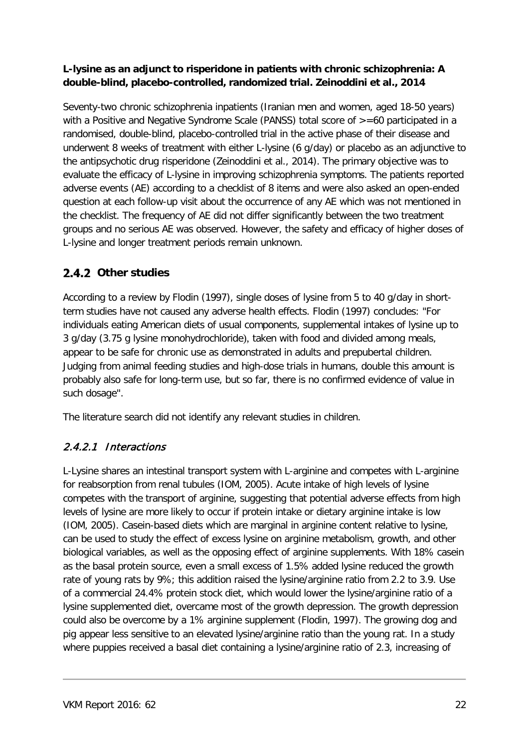#### **L-lysine as an adjunct to risperidone in patients with chronic schizophrenia: A double-blind, placebo-controlled, randomized trial. Zeinoddini et al., 2014**

Seventy-two chronic schizophrenia inpatients (Iranian men and women, aged 18-50 years) with a Positive and Negative Syndrome Scale (PANSS) total score of  $> =60$  participated in a randomised, double-blind, placebo-controlled trial in the active phase of their disease and underwent 8 weeks of treatment with either L-lysine (6 g/day) or placebo as an adjunctive to the antipsychotic drug risperidone (Zeinoddini et al., 2014). The primary objective was to evaluate the efficacy of L-lysine in improving schizophrenia symptoms. The patients reported adverse events (AE) according to a checklist of 8 items and were also asked an open-ended question at each follow-up visit about the occurrence of any AE which was not mentioned in the checklist. The frequency of AE did not differ significantly between the two treatment groups and no serious AE was observed. However, the safety and efficacy of higher doses of L-lysine and longer treatment periods remain unknown.

#### <span id="page-21-0"></span>2.4.2 Other studies

According to a review by Flodin (1997), single doses of lysine from 5 to 40 g/day in shortterm studies have not caused any adverse health effects. Flodin (1997) concludes: "For individuals eating American diets of usual components, supplemental intakes of lysine up to 3 g/day (3.75 g lysine monohydrochloride), taken with food and divided among meals, appear to be safe for chronic use as demonstrated in adults and prepubertal children. Judging from animal feeding studies and high-dose trials in humans, double this amount is probably also safe for long-term use, but so far, there is no confirmed evidence of value in such dosage".

The literature search did not identify any relevant studies in children.

#### <span id="page-21-1"></span>2.4.2.1 Interactions

L-Lysine shares an intestinal transport system with L-arginine and competes with L-arginine for reabsorption from renal tubules (IOM, 2005). Acute intake of high levels of lysine competes with the transport of arginine, suggesting that potential adverse effects from high levels of lysine are more likely to occur if protein intake or dietary arginine intake is low (IOM, 2005). Casein-based diets which are marginal in arginine content relative to lysine, can be used to study the effect of excess lysine on arginine metabolism, growth, and other biological variables, as well as the opposing effect of arginine supplements. With 18% casein as the basal protein source, even a small excess of 1.5% added lysine reduced the growth rate of young rats by 9%; this addition raised the lysine/arginine ratio from 2.2 to 3.9. Use of a commercial 24.4% protein stock diet, which would lower the lysine/arginine ratio of a lysine supplemented diet, overcame most of the growth depression. The growth depression could also be overcome by a 1% arginine supplement (Flodin, 1997). The growing dog and pig appear less sensitive to an elevated lysine/arginine ratio than the young rat. In a study where puppies received a basal diet containing a lysine/arginine ratio of 2.3, increasing of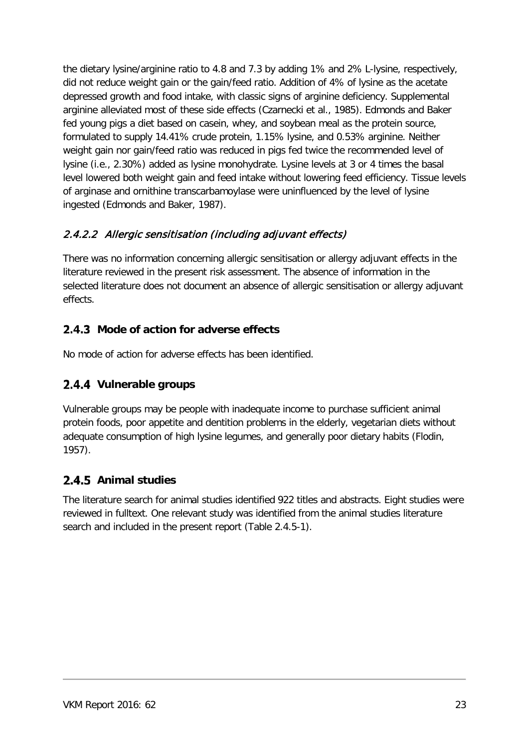the dietary lysine/arginine ratio to 4.8 and 7.3 by adding 1% and 2% L-lysine, respectively, did not reduce weight gain or the gain/feed ratio. Addition of 4% of lysine as the acetate depressed growth and food intake, with classic signs of arginine deficiency. Supplemental arginine alleviated most of these side effects (Czarnecki et al., 1985). Edmonds and Baker fed young pigs a diet based on casein, whey, and soybean meal as the protein source, formulated to supply 14.41% crude protein, 1.15% lysine, and 0.53% arginine. Neither weight gain nor gain/feed ratio was reduced in pigs fed twice the recommended level of lysine (i.e., 2.30%) added as lysine monohydrate. Lysine levels at 3 or 4 times the basal level lowered both weight gain and feed intake without lowering feed efficiency. Tissue levels of arginase and ornithine transcarbamoylase were uninfluenced by the level of lysine ingested (Edmonds and Baker, 1987).

#### <span id="page-22-0"></span>2.4.2.2 Allergic sensitisation (including adjuvant effects)

There was no information concerning allergic sensitisation or allergy adjuvant effects in the literature reviewed in the present risk assessment. The absence of information in the selected literature does not document an absence of allergic sensitisation or allergy adjuvant effects.

#### <span id="page-22-1"></span>**2.4.3** Mode of action for adverse effects

No mode of action for adverse effects has been identified.

#### <span id="page-22-2"></span>2.4.4 Vulnerable groups

Vulnerable groups may be people with inadequate income to purchase sufficient animal protein foods, poor appetite and dentition problems in the elderly, vegetarian diets without adequate consumption of high lysine legumes, and generally poor dietary habits (Flodin, 1957).

#### <span id="page-22-3"></span>2.4.5 Animal studies

The literature search for animal studies identified 922 titles and abstracts. Eight studies were reviewed in fulltext. One relevant study was identified from the animal studies literature search and included in the present report (Table 2.4.5-1).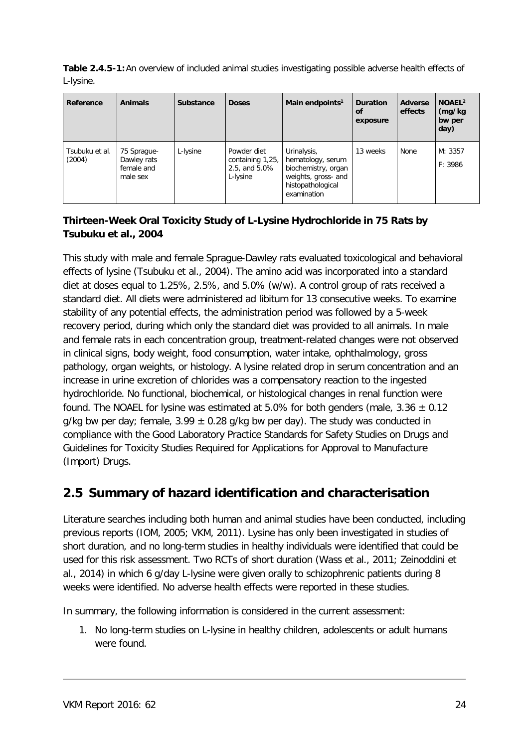**Table 2.4.5-1:**An overview of included animal studies investigating possible adverse health effects of L-lysine.

| Reference                | <b>Animals</b>                                       | Substance | <b>Doses</b>                                                 | Main endpoints <sup>1</sup>                                                                                        | <b>Duration</b><br>οf<br>exposure | <b>Adverse</b><br>effects | NOAEL <sup>2</sup><br>(mg/kg<br>bw per<br>day) |
|--------------------------|------------------------------------------------------|-----------|--------------------------------------------------------------|--------------------------------------------------------------------------------------------------------------------|-----------------------------------|---------------------------|------------------------------------------------|
| Tsubuku et al.<br>(2004) | 75 Sprague-<br>Dawley rats<br>female and<br>male sex | L-lysine  | Powder diet<br>containing 1,25,<br>2.5, and 5.0%<br>L-lysine | Urinalysis,<br>hematology, serum<br>biochemistry, organ<br>weights, gross- and<br>histopathological<br>examination | 13 weeks                          | None                      | M: 3357<br>F: 3986                             |

#### **Thirteen-Week Oral Toxicity Study of L-Lysine Hydrochloride in 75 Rats by Tsubuku et al., 2004**

This study with male and female Sprague-Dawley rats evaluated toxicological and behavioral effects of lysine (Tsubuku et al., 2004). The amino acid was incorporated into a standard diet at doses equal to 1.25%, 2.5%, and 5.0% (w/w). A control group of rats received a standard diet. All diets were administered ad libitum for 13 consecutive weeks. To examine stability of any potential effects, the administration period was followed by a 5-week recovery period, during which only the standard diet was provided to all animals. In male and female rats in each concentration group, treatment-related changes were not observed in clinical signs, body weight, food consumption, water intake, ophthalmology, gross pathology, organ weights, or histology. A lysine related drop in serum concentration and an increase in urine excretion of chlorides was a compensatory reaction to the ingested hydrochloride. No functional, biochemical, or histological changes in renal function were found. The NOAEL for lysine was estimated at 5.0% for both genders (male,  $3.36 \pm 0.12$ g/kg bw per day; female,  $3.99 \pm 0.28$  g/kg bw per day). The study was conducted in compliance with the Good Laboratory Practice Standards for Safety Studies on Drugs and Guidelines for Toxicity Studies Required for Applications for Approval to Manufacture (Import) Drugs.

### <span id="page-23-0"></span>**2.5 Summary of hazard identification and characterisation**

Literature searches including both human and animal studies have been conducted, including previous reports (IOM, 2005; VKM, 2011). Lysine has only been investigated in studies of short duration, and no long-term studies in healthy individuals were identified that could be used for this risk assessment. Two RCTs of short duration (Wass et al., 2011; Zeinoddini et al., 2014) in which 6 g/day L-lysine were given orally to schizophrenic patients during 8 weeks were identified. No adverse health effects were reported in these studies.

In summary, the following information is considered in the current assessment:

1. No long-term studies on L-lysine in healthy children, adolescents or adult humans were found.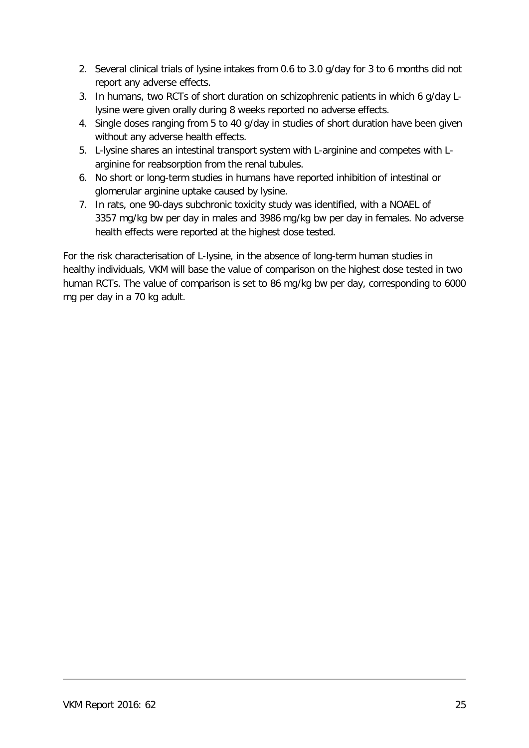- 2. Several clinical trials of lysine intakes from 0.6 to 3.0 g/day for 3 to 6 months did not report any adverse effects.
- 3. In humans, two RCTs of short duration on schizophrenic patients in which 6 g/day Llysine were given orally during 8 weeks reported no adverse effects.
- 4. Single doses ranging from 5 to 40 g/day in studies of short duration have been given without any adverse health effects.
- 5. L-lysine shares an intestinal transport system with L-arginine and competes with Larginine for reabsorption from the renal tubules.
- 6. No short or long-term studies in humans have reported inhibition of intestinal or glomerular arginine uptake caused by lysine.
- 7. In rats, one 90-days subchronic toxicity study was identified, with a NOAEL of 3357 mg/kg bw per day in males and 3986 mg/kg bw per day in females. No adverse health effects were reported at the highest dose tested.

For the risk characterisation of L-lysine, in the absence of long-term human studies in healthy individuals, VKM will base the value of comparison on the highest dose tested in two human RCTs. The value of comparison is set to 86 mg/kg bw per day, corresponding to 6000 mg per day in a 70 kg adult.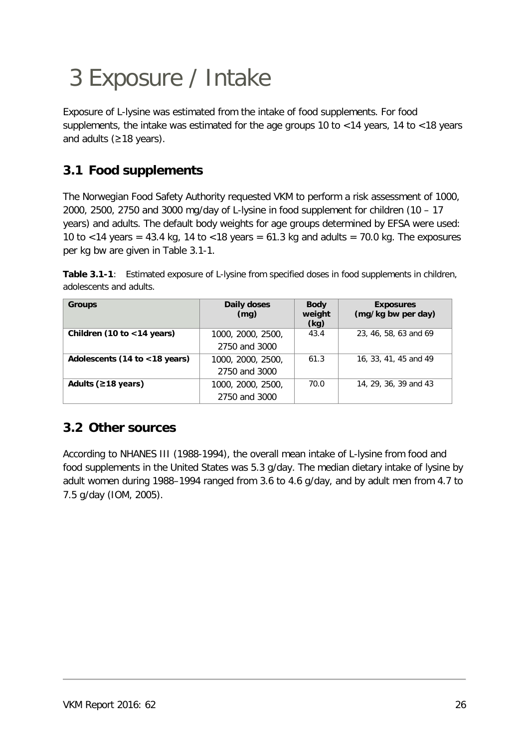## <span id="page-25-0"></span>3 Exposure / Intake

Exposure of L-lysine was estimated from the intake of food supplements. For food supplements, the intake was estimated for the age groups 10 to <14 years, 14 to <18 years and adults (≥18 years).

### <span id="page-25-1"></span>**3.1 Food supplements**

The Norwegian Food Safety Authority requested VKM to perform a risk assessment of 1000, 2000, 2500, 2750 and 3000 mg/day of L-lysine in food supplement for children (10 – 17 years) and adults. The default body weights for age groups determined by EFSA were used: 10 to <14 years = 43.4 kg, 14 to <18 years =  $61.3$  kg and adults =  $70.0$  kg. The exposures per kg bw are given in Table 3.1-1.

|                         | <b>Table 3.1-1</b> : Estimated exposure of L-lysine from specified doses in food supplements in children, |  |  |
|-------------------------|-----------------------------------------------------------------------------------------------------------|--|--|
| adolescents and adults. |                                                                                                           |  |  |

| <b>Groups</b>                 | Daily doses<br>(mq) | <b>Body</b><br>weight<br>(kg) | <b>Exposures</b><br>(mg/kg bw per day) |
|-------------------------------|---------------------|-------------------------------|----------------------------------------|
| Children (10 to $<$ 14 years) | 1000, 2000, 2500,   | 43.4                          | 23, 46, 58, 63 and 69                  |
|                               | 2750 and 3000       |                               |                                        |
| Adolescents (14 to <18 years) | 1000, 2000, 2500,   | 61.3                          | 16, 33, 41, 45 and 49                  |
|                               | 2750 and 3000       |                               |                                        |
| Adults ( $\geq$ 18 years)     | 1000, 2000, 2500,   | 70.0                          | 14, 29, 36, 39 and 43                  |
|                               | 2750 and 3000       |                               |                                        |

### <span id="page-25-2"></span>**3.2 Other sources**

According to NHANES III (1988-1994), the overall mean intake of L-lysine from food and food supplements in the United States was 5.3 g/day. The median dietary intake of lysine by adult women during 1988–1994 ranged from 3.6 to 4.6 g/day, and by adult men from 4.7 to 7.5 g/day (IOM, 2005).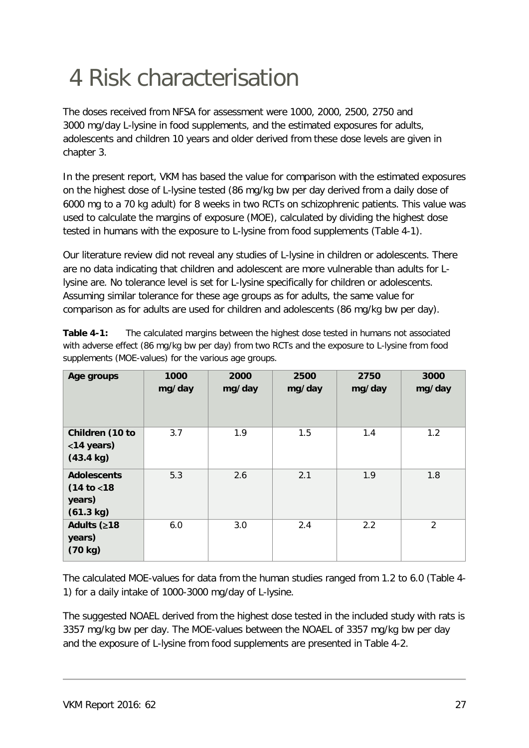## <span id="page-26-0"></span>4 Risk characterisation

The doses received from NFSA for assessment were 1000, 2000, 2500, 2750 and 3000 mg/day L-lysine in food supplements, and the estimated exposures for adults, adolescents and children 10 years and older derived from these dose levels are given in chapter 3.

In the present report, VKM has based the value for comparison with the estimated exposures on the highest dose of L-lysine tested (86 mg/kg bw per day derived from a daily dose of 6000 mg to a 70 kg adult) for 8 weeks in two RCTs on schizophrenic patients. This value was used to calculate the margins of exposure (MOE), calculated by dividing the highest dose tested in humans with the exposure to L-lysine from food supplements (Table 4-1).

Our literature review did not reveal any studies of L-lysine in children or adolescents. There are no data indicating that children and adolescent are more vulnerable than adults for Llysine are. No tolerance level is set for L-lysine specifically for children or adolescents. Assuming similar tolerance for these age groups as for adults, the same value for comparison as for adults are used for children and adolescents (86 mg/kg bw per day).

| Age groups                                                | 1000<br>mg/day | 2000<br>mg/day | 2500<br>mg/day | 2750<br>mg/day | 3000<br>mg/day |
|-----------------------------------------------------------|----------------|----------------|----------------|----------------|----------------|
| Children (10 to<br><14 years)<br>$(43.4 \text{ kg})$      | 3.7            | 1.9            | 1.5            | 1.4            | 1.2            |
| <b>Adolescents</b><br>(14 to < 18)<br>years)<br>(61.3 kg) | 5.3            | 2.6            | 2.1            | 1.9            | 1.8            |
| Adults (≥18<br>years)<br>(70 kg)                          | 6.0            | 3.0            | 2.4            | 2.2            | $\overline{2}$ |

**Table 4-1:** The calculated margins between the highest dose tested in humans not associated with adverse effect (86 mg/kg bw per day) from two RCTs and the exposure to L-lysine from food supplements (MOE-values) for the various age groups.

The calculated MOE-values for data from the human studies ranged from 1.2 to 6.0 (Table 4- 1) for a daily intake of 1000-3000 mg/day of L-lysine.

The suggested NOAEL derived from the highest dose tested in the included study with rats is 3357 mg/kg bw per day. The MOE-values between the NOAEL of 3357 mg/kg bw per day and the exposure of L-lysine from food supplements are presented in Table 4-2.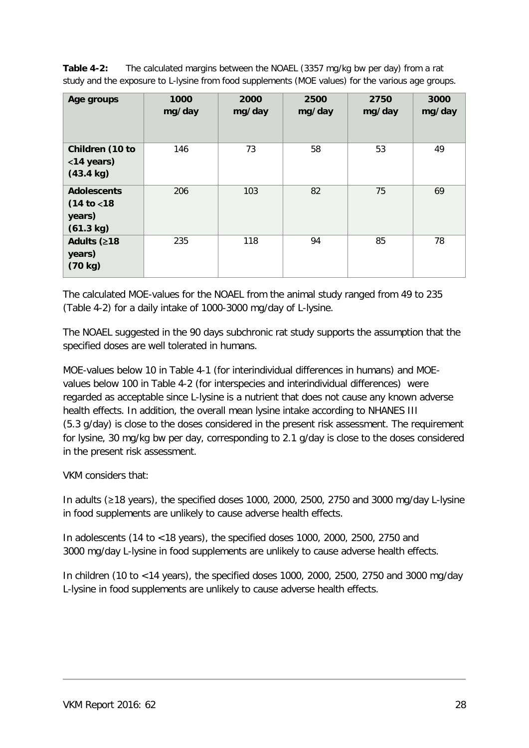**Table 4-2:** The calculated margins between the NOAEL (3357 mg/kg bw per day) from a rat study and the exposure to L-lysine from food supplements (MOE values) for the various age groups.

| Age groups                                                | 1000<br>mg/day | 2000<br>mg/day | 2500<br>mg/day | 2750<br>mg/day | 3000<br>mg/day |
|-----------------------------------------------------------|----------------|----------------|----------------|----------------|----------------|
| Children (10 to<br><14 years)<br>$(43.4 \text{ kg})$      | 146            | 73             | 58             | 53             | 49             |
| <b>Adolescents</b><br>(14 to < 18)<br>years)<br>(61.3 kg) | 206            | 103            | 82             | 75             | 69             |
| Adults (≥18<br>years)<br>(70 kg)                          | 235            | 118            | 94             | 85             | 78             |

The calculated MOE-values for the NOAEL from the animal study ranged from 49 to 235 (Table 4-2) for a daily intake of 1000-3000 mg/day of L-lysine.

The NOAEL suggested in the 90 days subchronic rat study supports the assumption that the specified doses are well tolerated in humans.

MOE-values below 10 in Table 4-1 (for interindividual differences in humans) and MOEvalues below 100 in Table 4-2 (for interspecies and interindividual differences) were regarded as acceptable since L-lysine is a nutrient that does not cause any known adverse health effects. In addition, the overall mean lysine intake according to NHANES III (5.3 g/day) is close to the doses considered in the present risk assessment. The requirement for lysine, 30 mg/kg bw per day, corresponding to 2.1 g/day is close to the doses considered in the present risk assessment.

VKM considers that:

In adults (≥18 years), the specified doses 1000, 2000, 2500, 2750 and 3000 mg/day L-lysine in food supplements are unlikely to cause adverse health effects.

In adolescents (14 to <18 years), the specified doses 1000, 2000, 2500, 2750 and 3000 mg/day L-lysine in food supplements are unlikely to cause adverse health effects.

In children (10 to <14 years), the specified doses 1000, 2000, 2500, 2750 and 3000 mg/day L-lysine in food supplements are unlikely to cause adverse health effects.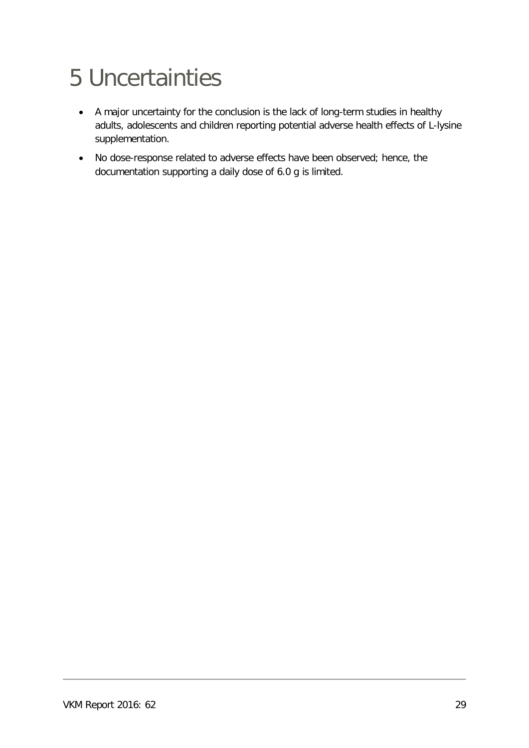## <span id="page-28-0"></span>5 Uncertainties

- A major uncertainty for the conclusion is the lack of long-term studies in healthy adults, adolescents and children reporting potential adverse health effects of L-lysine supplementation.
- No dose-response related to adverse effects have been observed; hence, the documentation supporting a daily dose of 6.0 g is limited.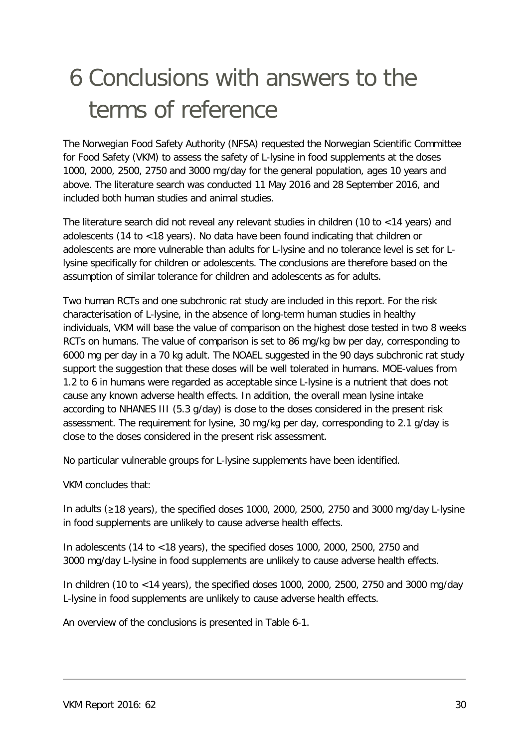## <span id="page-29-0"></span>6 Conclusions with answers to the terms of reference

The Norwegian Food Safety Authority (NFSA) requested the Norwegian Scientific Committee for Food Safety (VKM) to assess the safety of L-lysine in food supplements at the doses 1000, 2000, 2500, 2750 and 3000 mg/day for the general population, ages 10 years and above. The literature search was conducted 11 May 2016 and 28 September 2016, and included both human studies and animal studies.

The literature search did not reveal any relevant studies in children (10 to <14 years) and adolescents (14 to <18 years). No data have been found indicating that children or adolescents are more vulnerable than adults for L-lysine and no tolerance level is set for Llysine specifically for children or adolescents. The conclusions are therefore based on the assumption of similar tolerance for children and adolescents as for adults.

Two human RCTs and one subchronic rat study are included in this report. For the risk characterisation of L-lysine, in the absence of long-term human studies in healthy individuals, VKM will base the value of comparison on the highest dose tested in two 8 weeks RCTs on humans. The value of comparison is set to 86 mg/kg bw per day, corresponding to 6000 mg per day in a 70 kg adult. The NOAEL suggested in the 90 days subchronic rat study support the suggestion that these doses will be well tolerated in humans. MOE-values from 1.2 to 6 in humans were regarded as acceptable since L-lysine is a nutrient that does not cause any known adverse health effects. In addition, the overall mean lysine intake according to NHANES III (5.3 g/day) is close to the doses considered in the present risk assessment. The requirement for lysine, 30 mg/kg per day, corresponding to 2.1 g/day is close to the doses considered in the present risk assessment.

No particular vulnerable groups for L-lysine supplements have been identified.

VKM concludes that:

In adults (≥18 years), the specified doses 1000, 2000, 2500, 2750 and 3000 mg/day L-lysine in food supplements are unlikely to cause adverse health effects.

In adolescents (14 to <18 years), the specified doses 1000, 2000, 2500, 2750 and 3000 mg/day L-lysine in food supplements are unlikely to cause adverse health effects.

In children (10 to <14 years), the specified doses 1000, 2000, 2500, 2750 and 3000 mg/day L-lysine in food supplements are unlikely to cause adverse health effects.

An overview of the conclusions is presented in Table 6-1.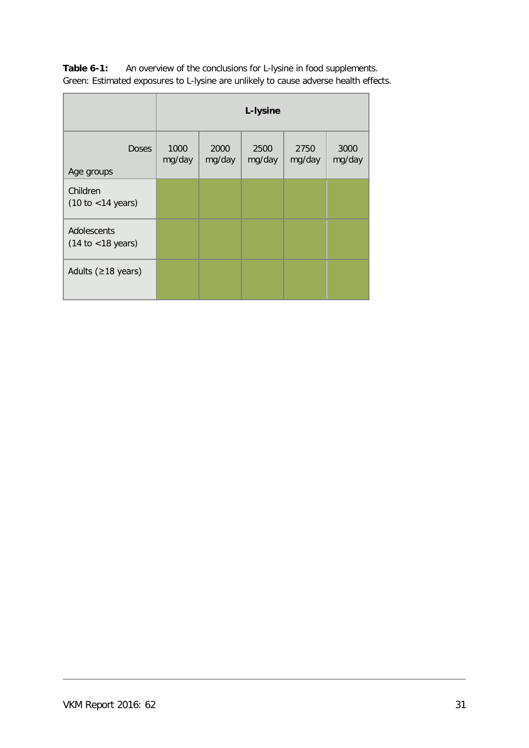| Table 6-1: | An overview of the conclusions for L-lysine in food supplements.                     |
|------------|--------------------------------------------------------------------------------------|
|            | Green: Estimated exposures to L-lysine are unlikely to cause adverse health effects. |

|                                                      | L-lysine       |                |                |                |                |
|------------------------------------------------------|----------------|----------------|----------------|----------------|----------------|
| <b>Doses</b><br>Age groups                           | 1000<br>mg/day | 2000<br>mg/day | 2500<br>mg/day | 2750<br>mg/day | 3000<br>mg/day |
| Children<br>(10 to < 14 years)                       |                |                |                |                |                |
| Adolescents<br>$(14 \text{ to } < 18 \text{ years})$ |                |                |                |                |                |
| Adults ( $\geq$ 18 years)                            |                |                |                |                |                |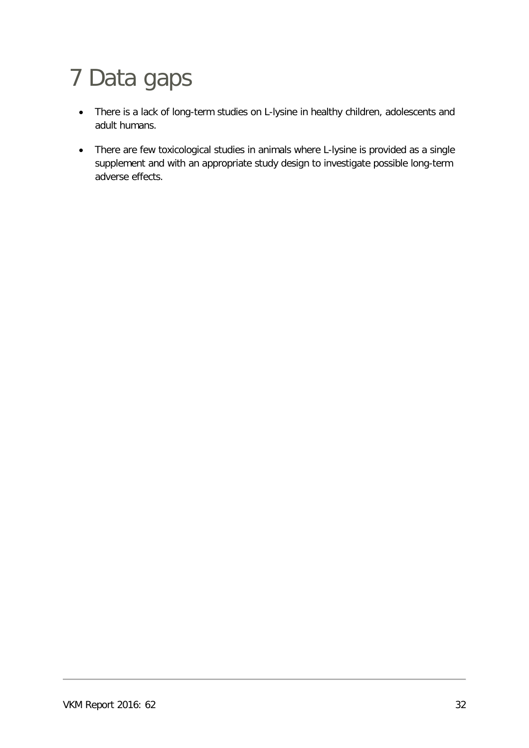## <span id="page-31-0"></span>7 Data gaps

- There is a lack of long-term studies on L-lysine in healthy children, adolescents and adult humans.
- There are few toxicological studies in animals where L-lysine is provided as a single supplement and with an appropriate study design to investigate possible long-term adverse effects.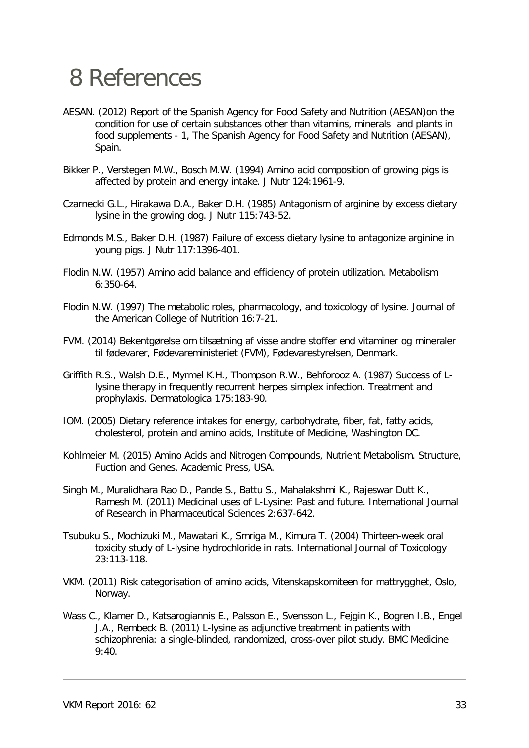### <span id="page-32-0"></span>8 References

- AESAN. (2012) Report of the Spanish Agency for Food Safety and Nutrition (AESAN)on the condition for use of certain substances other than vitamins, minerals and plants in food supplements - 1, The Spanish Agency for Food Safety and Nutrition (AESAN), Spain.
- Bikker P., Verstegen M.W., Bosch M.W. (1994) Amino acid composition of growing pigs is affected by protein and energy intake. J Nutr 124:1961-9.
- Czarnecki G.L., Hirakawa D.A., Baker D.H. (1985) Antagonism of arginine by excess dietary lysine in the growing dog. J Nutr 115:743-52.
- Edmonds M.S., Baker D.H. (1987) Failure of excess dietary lysine to antagonize arginine in young pigs. J Nutr 117:1396-401.
- Flodin N.W. (1957) Amino acid balance and efficiency of protein utilization. Metabolism 6:350-64.
- Flodin N.W. (1997) The metabolic roles, pharmacology, and toxicology of lysine. Journal of the American College of Nutrition 16:7-21.
- FVM. (2014) Bekentgørelse om tilsætning af visse andre stoffer end vitaminer og mineraler til fødevarer, Fødevareministeriet (FVM), Fødevarestyrelsen, Denmark.
- Griffith R.S., Walsh D.E., Myrmel K.H., Thompson R.W., Behforooz A. (1987) Success of Llysine therapy in frequently recurrent herpes simplex infection. Treatment and prophylaxis. Dermatologica 175:183-90.
- IOM. (2005) Dietary reference intakes for energy, carbohydrate, fiber, fat, fatty acids, cholesterol, protein and amino acids, Institute of Medicine, Washington DC.
- Kohlmeier M. (2015) Amino Acids and Nitrogen Compounds, Nutrient Metabolism. Structure, Fuction and Genes, Academic Press, USA.
- Singh M., Muralidhara Rao D., Pande S., Battu S., Mahalakshmi K., Rajeswar Dutt K., Ramesh M. (2011) Medicinal uses of L-Lysine: Past and future. International Journal of Research in Pharmaceutical Sciences 2:637-642.
- Tsubuku S., Mochizuki M., Mawatari K., Smriga M., Kimura T. (2004) Thirteen-week oral toxicity study of L-lysine hydrochloride in rats. International Journal of Toxicology 23:113-118.
- VKM. (2011) Risk categorisation of amino acids, Vitenskapskomiteen for mattrygghet, Oslo, Norway.
- Wass C., Klamer D., Katsarogiannis E., Palsson E., Svensson L., Fejgin K., Bogren I.B., Engel J.A., Rembeck B. (2011) L-lysine as adjunctive treatment in patients with schizophrenia: a single-blinded, randomized, cross-over pilot study. BMC Medicine 9:40.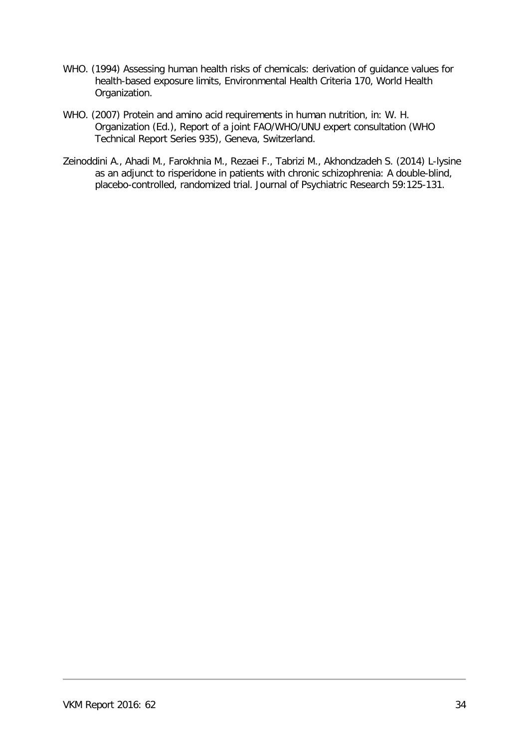- WHO. (1994) Assessing human health risks of chemicals: derivation of guidance values for health-based exposure limits, Environmental Health Criteria 170, World Health Organization.
- WHO. (2007) Protein and amino acid requirements in human nutrition, in: W. H. Organization (Ed.), Report of a joint FAO/WHO/UNU expert consultation (WHO Technical Report Series 935), Geneva, Switzerland.
- Zeinoddini A., Ahadi M., Farokhnia M., Rezaei F., Tabrizi M., Akhondzadeh S. (2014) L-lysine as an adjunct to risperidone in patients with chronic schizophrenia: A double-blind, placebo-controlled, randomized trial. Journal of Psychiatric Research 59:125-131.